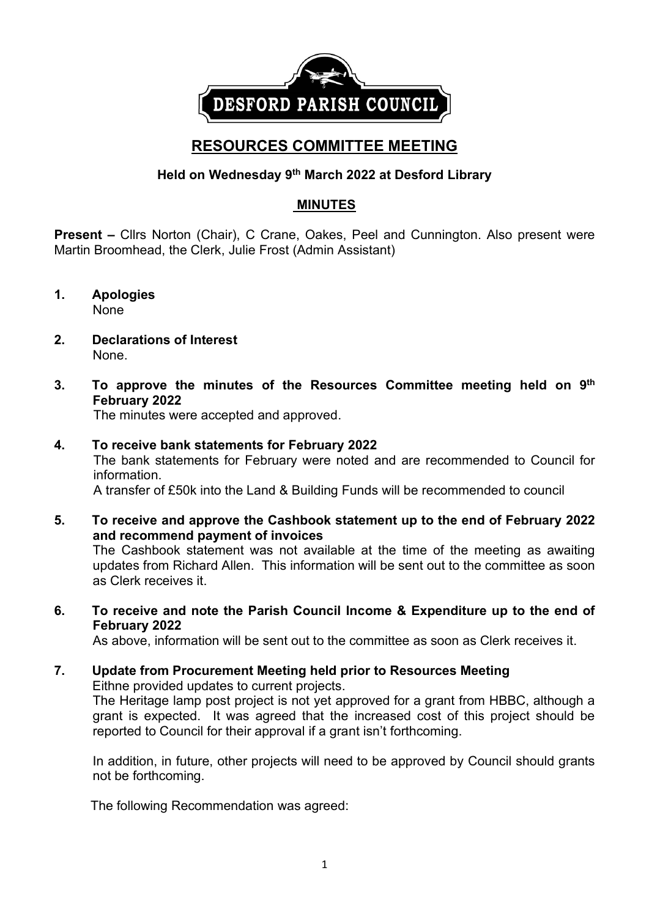

# **RESOURCES COMMITTEE MEETING**

# **Held on Wednesday 9 th March 2022 at Desford Library**

# **MINUTES**

**Present –** Cllrs Norton (Chair), C Crane, Oakes, Peel and Cunnington. Also present were Martin Broomhead, the Clerk, Julie Frost (Admin Assistant)

- **1. Apologies** None
- **2. Declarations of Interest** None.
- **3. To approve the minutes of the Resources Committee meeting held on 9 th February 2022**

The minutes were accepted and approved.

#### **4. To receive bank statements for February 2022**

The bank statements for February were noted and are recommended to Council for information.

A transfer of £50k into the Land & Building Funds will be recommended to council

**5. To receive and approve the Cashbook statement up to the end of February 2022 and recommend payment of invoices**

The Cashbook statement was not available at the time of the meeting as awaiting updates from Richard Allen. This information will be sent out to the committee as soon as Clerk receives it.

**6. To receive and note the Parish Council Income & Expenditure up to the end of February 2022**

As above, information will be sent out to the committee as soon as Clerk receives it.

**7. Update from Procurement Meeting held prior to Resources Meeting** Eithne provided updates to current projects. The Heritage lamp post project is not yet approved for a grant from HBBC, although a grant is expected. It was agreed that the increased cost of this project should be reported to Council for their approval if a grant isn't forthcoming.

In addition, in future, other projects will need to be approved by Council should grants not be forthcoming.

The following Recommendation was agreed: